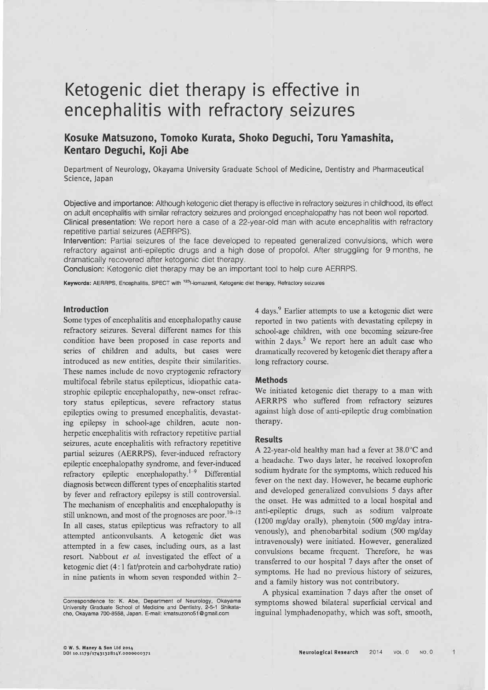# Ketogenic diet therapy is effective in encephalitis with refractory seizures

# Kosuke Matsuzono, Tomoko Kurata, Shoko Deguchi, Toru Yamashita, Kentaro Deguchi, Koji Abe

Department of Neurology, Okayama University Graduate School of Medicine, Dentistry and Pharmaceutical Science, Japan

Objective and importance: Although ketogenic diet therapy is effective in refractory seizures in childhood, its effect on adult encephalitis with similar refractory seizures and prolonged encephalopathy has not been well reported. Clinical presentation: We report here a case of a 22-year-old man with acute encephalitis with refractory repetitive partial seizures (AERRPS).

Intervention: Partial seizures of the face developed to repeated generalized convulsions, which were refractory against anti-epileptic drugs and a high dose of propofol. After struggling for 9 months, he dramatically recovered after ketogenic diet therapy.

Conclusion: Ketogenic diet therapy may be an important tool to help cure AERRPS.

Keywords: AERRPS, Encephalitis, SPECT with <sup>123</sup>l-iomazenil, Ketogenic diet therapy, Refractory seizures

#### **Introduction**

Some types of encephalitis and encephalopathy cause refractory seizures. Several different names for this condition have been proposed in case reports and series of children and adults, but cases were introduced as new entities, despite their similarities. These names include de novo cryptogenic refractory multifocal febrile status epilepticus, idiopathic catastrophic epileptic encephalopathy, new-onset refractory status epilepticus, severe refractory status epileptics owing to presumed encephalitis, devastating epilepsy in school-age children, acute nonherpetic encephalitis with refractory repetitive partial seizures, acute encephalitis with refractory repetitive partial seizures (AERRPS), fever-induced refractory epileptic encephalopathy syndrome, and fever-induced refractory epileptic encephalopathy.<sup>1-9</sup> Differential diagnosis between different types of encephalitis started by fever and refractory epilepsy is still controversial. The mechanism of encephalitis and encephalopathy is still unknown, and most of the prognoses are poor.<sup>10-12</sup> In all cases, status epilepticus was refractory to all attempted anticonvulsants. A ketogenic diet was attempted in a few cases, including ours, as a last resort. Nabbout et al. investigated the effect of a ketogenic diet (4:1 fat/protein and carbohydrate ratio) in nine patients in whom seven responded within 24 days.<sup>9</sup> Earlier attempts to use a ketogenic diet were reported in two patients with devastating epilepsy in school-age children, with one becoming seizure-free within 2 days.<sup>5</sup> We report here an adult case who dramatically recovered by ketogenic diet therapy after a long refractory course.

## **Methods**

We initiated ketogenic diet therapy to a man with AERRPS who suffered from refractory seizures against high dose of anti-epileptic drug combination therapy.

#### **Results**

A 22-year-old healthy man had a fever at 38.0°C and a headache. Two days later, he received loxoprofen sodium hydrate for the symptoms, which reduced his fever on the next day. However, he became euphoric and developed generalized convulsions 5 days after the onset. He was admitted to a local hospital and anti-epileptic drugs, such as sodium valproate (1200 mg/day orally), phenytoin (500 mg/day intravenously), and phenobarbital sodium (500 mg/day intravenously) were initiated. However, generalized convulsions became frequent. Therefore, he was transferred to our hospital 7 days after the onset of symptoms. He had no previous history of seizures, and a family history was not contributory.

A physical examination 7 days after the onset of symptoms showed bilateral superficial cervical and inguinal lymphadenopathy, which was soft, smooth,

Correspondence to: K. Abe, Department of Neurology, Okayama University Graduate School of Medicine and Dentistry, 2-5-1 Shikata-cho, Okayama 700-8558, Japan. E-mail: kmatsuzono51@gmail.com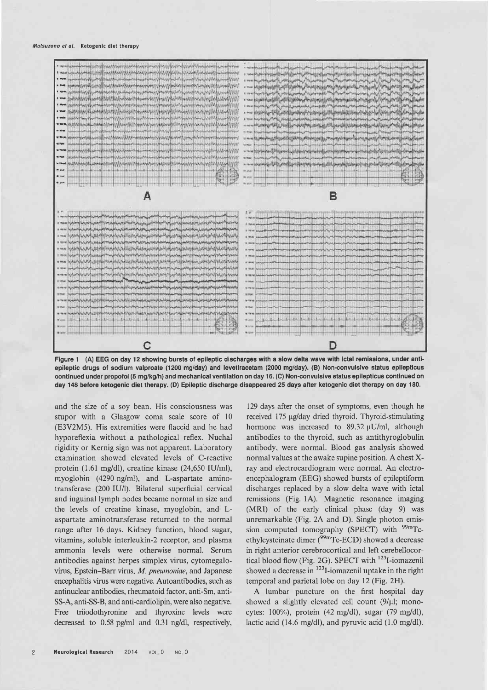#### Matsuzono et al. Ketogenic diet therapy



Figure 1 (A) EEG on day 12 showing bursts of epileptic discharges with a slow delta wave with ictal remissions, under antiepileptic drugs of sodium valproate (1200 mg/day) and levetIracetam (2000 mg/day). (B) Non-convulsive status epilepticus continued under propofol (5 mg/kg/h) and mechanical ventilation on day 16. (C) Non-convulsive status epilepticus continued on day 148 before ketogenic diet therapy. (D) Epileptic discharge disappeared 25 days after ketogenic diet therapy on day 180.

and the size of a soy bean. His consciousness was stupor with a Glasgow coma scale score of 10 (E3V2M5). His extremities were flaccid and he had hyporeflexia without a pathological reflex. Nuchal rigidity or Kernig sign was not apparent. Laboratory examination showed elevated levels of C-reactive protein (1.61 mg/dl), creatine kinase (24,650 IU/ml), myoglobin (4290 ng/ml), and L-aspartate aminotransferase (200 IU/l). Bilateral superficial cervical and inguinal lymph nodes became normal in size and the levels of creatine kinase, myoglobin, and Laspartate aminotransferase returned to the normal range after 16 days. Kidney function, blood sugar, vitamins, soluble interleukin-2 receptor, and plasma ammonia levels were otherwise normal. Serum antibodies against herpes simplex virus, cytomegalovirus, Epstein-Barr virus, M. pneumoniae, and Japanese encephalitis virus were negative. Autoantibodies, such as antinuclear antibodies, rheumatoid factor, anti-Sm, anti-SS-A, anti-SS-B, and anti-cardiolipin, were also negative. Free triiodothyronine and thyroxine levels were decreased to 0.58 pg/ml and 0.31 ng/dl, respectively,

129 days after the onset of symptoms, even though he received 175 µg/day dried thyroid. Thyroid-stimulating hormone was increased to 89.32 µU/ml, although antibodies to the thyroid, such as antithyroglobulin antibody, were normal. Blood gas analysis showed normal values at the awake supine position. A chest Xray and electrocardiogram were normal. An electroencephalogram (EEG) showed bursts of epileptiform discharges replaced by a slow delta wave with ictal remissions (Fig. 1A). Magnetic resonance imaging (MRI) of the early clinical phase (day 9) was unremarkable (Fig. 2A and D). Single photon emission computed tomography (SPECT) with <sup>99m</sup>Tcethylcysteinate dimer (<sup>99m</sup>Tc-ECD) showed a decrease in right anterior cerebrocortical and left cerebellocortical blood flow (Fig. 2G). SPECT with <sup>123</sup>I-iomazenil showed a decrease in <sup>123</sup>I-iomazenil uptake in the right temporal and parietal lobe on day 12 (Fig. 2H).

A lumbar puncture on the first hospital day showed a slightly elevated cell count (9/µl; monocytes: 100%), protein (42 mg/dl), sugar (79 mg/dl), lactic acid (14.6 mg/dl), and pyruvic acid (1.0 mg/dl).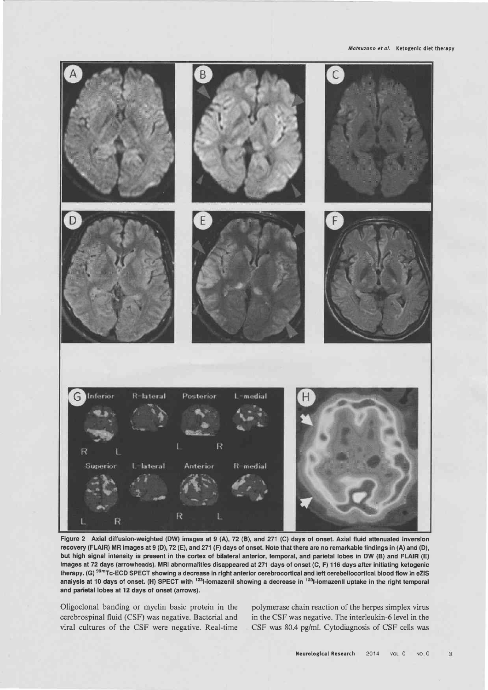Matsuzono et al. Ketogenic diet therapy



Figure 2 Axial diffusion-weighted (DW) images at 9 (A), 72 (B), and 271 (C) days of onset. Axial fluid attenuated inversion recovery (FLAIR) MR images at 9 (D), 72 (E), and 271 (F) days of onset. Note that there are no remarkable findings in (A) and (D), but high signal intensity is present in the cortex of bilateral anterior, temporal, and parietal lobes in DW (B) and FLAIR (E) images at 72 days (arrowheads). MRI abnormalities disappeared at 271 days of onset (C, F) 116 days after initiating ketogenic therapy. (G)<sup>99m</sup>Tc-ECD SPECT showing a decrease in right anterior cerebrocortical and left cerebellocortical blood flow in eZIS analysis at 10 days of onset. (H) SPECT with <sup>123</sup>I-iomazenil showing a decrease in <sup>123</sup>I-iomazenil uptake in the right temporal and parietal lobes at 12 days of onset (arrows).

Oligoclonal banding or myelin basic protein in the polymerase chain reaction of the herpes simplex virus cerebrospinal fluid (CSF) was negative. Bacterial and in the CSF was negative. The interleukin-6 level in the

viral cultures of the CSF were negative. Real-time CSF was 80.4 pg/ml. Cytodiagnosis of CSF cells was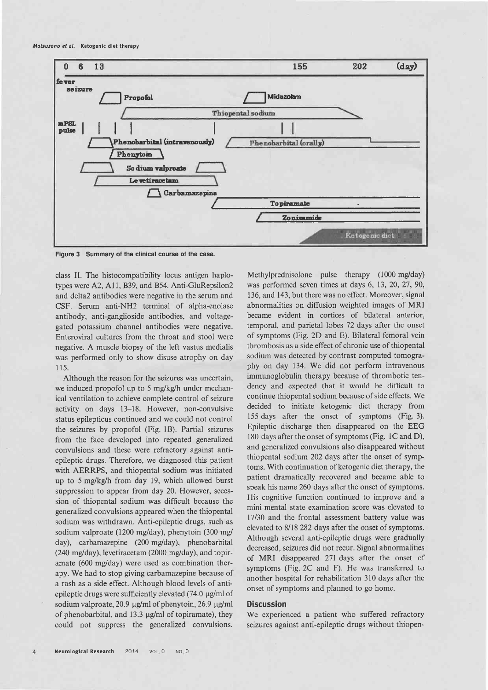

Figure 3 Summary of the clinical course of the case.

class II. The histocompatibility locus antigen haplotypes were A2, A11, B39, and B54. Anti-GluRepsilon2 and delta2 antibodies were negative in the serum and CSF. Serum anti-NH2 terminal of alpha-enolase antibody, anti-ganglioside antibodies, and voltagegated potassium channel antibodies were negative. Enteroviral cultures from the throat and stool were negative. A muscle biopsy of the left vastus medialis was performed only to show disuse atrophy on day 115.

Although the reason for the seizures was uncertain, we induced propofol up to 5 mg/kg/h under mechanical ventilation to achieve complete control of seizure activity on days 13-18. However, non-convulsive status epilepticus continued and we could not control the seizures by propofol (Fig. 1B). Partial seizures from the face developed into repeated generalized convulsions and these were refractory against antiepileptic drugs. Therefore, we diagnosed this patient with AERRPS, and thiopental sodium was initiated up to 5 mg/kg/h from day 19, which allowed burst suppression to appear from day 20. However, secession of thiopental sodium was difficult because the generalized convulsions appeared when the thiopental sodium was withdrawn. Anti-epileptic drugs, such as sodium valproate (1200 mg/day), phenytoin (300 mg/ day), carbamazepine (200 mg/day), phenobarbital (240 mg/day), levetiracetam (2000 mg/day), and topiramate (600 mg/day) were used as combination therapy. We had to stop giving carbamazepine because of a rash as a side effect. Although blood levels of antiepileptic drugs were sufficiently elevated  $(74.0 \mu g/ml \text{ of }$ sodium valproate, 20.9 μg/ml of phenytoin, 26.9 μg/ml of phenobarbital, and 13.3 µg/ml of topiramate), they could not suppress the generalized convulsions.

Methylprednisolone pulse therapy (1000 mg/day) was performed seven times at days 6, 13, 20, 27, 90, 136, and 143, but there was no effect. Moreover, signal abnormalities on diffusion weighted images of MRI became evident in cortices of bilateral anterior, temporal, and parietal lobes 72 days after the onset of symptoms (Fig. 2D and E). Bilateral femoral vein thrombosis as a side effect of chronic use of thiopental sodium was detected by contrast computed tomography on day 134. We did not perform intravenous immunoglobulin therapy because of thrombotic tendency and expected that it would be difficult to continue thiopental sodium because of side effects. We decided to initiate ketogenic diet therapy from 155 days after the onset of symptoms (Fig. 3). Epileptic discharge then disappeared on the EEG 180 days after the onset of symptoms (Fig. 1C and D), and generalized convulsions also disappeared without thiopental sodium 202 days after the onset of symptoms. With continuation of ketogenic diet therapy, the patient dramatically recovered and became able to speak his name 260 days after the onset of symptoms. His cognitive function continued to improve and a mini-mental state examination score was elevated to 17/30 and the frontal assessment battery value was elevated to 8/18 282 days after the onset of symptoms. Although several anti-epileptic drugs were gradually decreased, seizures did not recur. Signal abnormalities of MRI disappeared 271 days after the onset of symptoms (Fig. 2C and F). He was transferred to another hospital for rehabilitation 310 days after the onset of symptoms and planned to go home.

### **Discussion**

We experienced a patient who suffered refractory seizures against anti-epileptic drugs without thiopen-